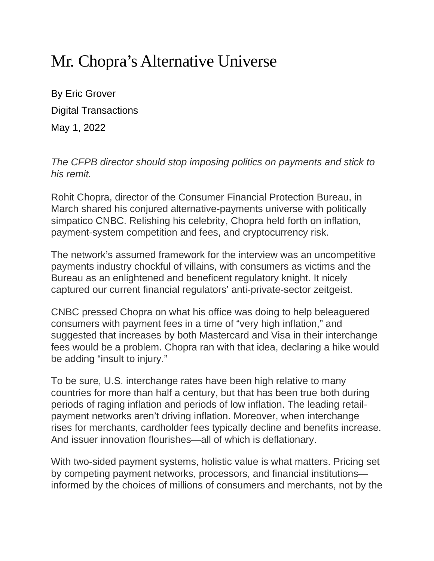## Mr. Chopra's Alternative Universe

By Eric Grover Digital Transactions May 1, 2022

*The CFPB director should stop imposing politics on payments and stick to his remit.*

Rohit Chopra, director of the Consumer Financial Protection Bureau, in March shared his conjured alternative-payments universe with politically simpatico CNBC. Relishing his celebrity, Chopra held forth on inflation, payment-system competition and fees, and cryptocurrency risk.

The network's assumed framework for the interview was an uncompetitive payments industry chockful of villains, with consumers as victims and the Bureau as an enlightened and beneficent regulatory knight. It nicely captured our current financial regulators' anti-private-sector zeitgeist.

CNBC pressed Chopra on what his office was doing to help beleaguered consumers with payment fees in a time of "very high inflation," and suggested that increases by both Mastercard and Visa in their interchange fees would be a problem. Chopra ran with that idea, declaring a hike would be adding "insult to injury."

To be sure, U.S. interchange rates have been high relative to many countries for more than half a century, but that has been true both during periods of raging inflation and periods of low inflation. The leading retailpayment networks aren't driving inflation. Moreover, when interchange rises for merchants, cardholder fees typically decline and benefits increase. And issuer innovation flourishes—all of which is deflationary.

With two-sided payment systems, holistic value is what matters. Pricing set by competing payment networks, processors, and financial institutions informed by the choices of millions of consumers and merchants, not by the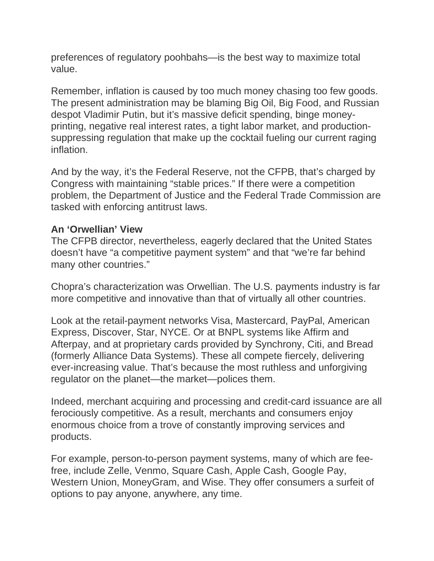preferences of regulatory poohbahs—is the best way to maximize total value.

Remember, inflation is caused by too much money chasing too few goods. The present administration may be blaming Big Oil, Big Food, and Russian despot Vladimir Putin, but it's massive deficit spending, binge moneyprinting, negative real interest rates, a tight labor market, and productionsuppressing regulation that make up the cocktail fueling our current raging inflation.

And by the way, it's the Federal Reserve, not the CFPB, that's charged by Congress with maintaining "stable prices." If there were a competition problem, the Department of Justice and the Federal Trade Commission are tasked with enforcing antitrust laws.

## **An 'Orwellian' View**

The CFPB director, nevertheless, eagerly declared that the United States doesn't have "a competitive payment system" and that "we're far behind many other countries."

Chopra's characterization was Orwellian. The U.S. payments industry is far more competitive and innovative than that of virtually all other countries.

Look at the retail-payment networks Visa, Mastercard, PayPal, American Express, Discover, Star, NYCE. Or at BNPL systems like Affirm and Afterpay, and at proprietary cards provided by Synchrony, Citi, and Bread (formerly Alliance Data Systems). These all compete fiercely, delivering ever-increasing value. That's because the most ruthless and unforgiving regulator on the planet—the market—polices them.

Indeed, merchant acquiring and processing and credit-card issuance are all ferociously competitive. As a result, merchants and consumers enjoy enormous choice from a trove of constantly improving services and products.

For example, person-to-person payment systems, many of which are feefree, include Zelle, Venmo, Square Cash, Apple Cash, Google Pay, Western Union, MoneyGram, and Wise. They offer consumers a surfeit of options to pay anyone, anywhere, any time.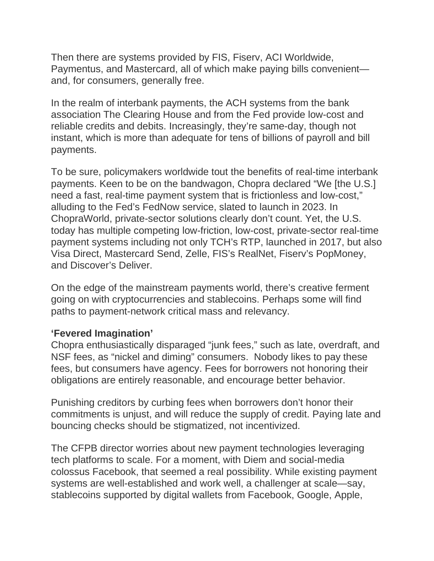Then there are systems provided by FIS, Fiserv, ACI Worldwide, Paymentus, and Mastercard, all of which make paying bills convenient and, for consumers, generally free.

In the realm of interbank payments, the ACH systems from the bank association The Clearing House and from the Fed provide low-cost and reliable credits and debits. Increasingly, they're same-day, though not instant, which is more than adequate for tens of billions of payroll and bill payments.

To be sure, policymakers worldwide tout the benefits of real-time interbank payments. Keen to be on the bandwagon, Chopra declared "We [the U.S.] need a fast, real-time payment system that is frictionless and low-cost," alluding to the Fed's FedNow service, slated to launch in 2023. In ChopraWorld, private-sector solutions clearly don't count. Yet, the U.S. today has multiple competing low-friction, low-cost, private-sector real-time payment systems including not only TCH's RTP, launched in 2017, but also Visa Direct, Mastercard Send, Zelle, FIS's RealNet, Fiserv's PopMoney, and Discover's Deliver.

On the edge of the mainstream payments world, there's creative ferment going on with cryptocurrencies and stablecoins. Perhaps some will find paths to payment-network critical mass and relevancy.

## **'Fevered Imagination'**

Chopra enthusiastically disparaged "junk fees," such as late, overdraft, and NSF fees, as "nickel and diming" consumers. Nobody likes to pay these fees, but consumers have agency. Fees for borrowers not honoring their obligations are entirely reasonable, and encourage better behavior.

Punishing creditors by curbing fees when borrowers don't honor their commitments is unjust, and will reduce the supply of credit. Paying late and bouncing checks should be stigmatized, not incentivized.

The CFPB director worries about new payment technologies leveraging tech platforms to scale. For a moment, with Diem and social-media colossus Facebook, that seemed a real possibility. While existing payment systems are well-established and work well, a challenger at scale—say, stablecoins supported by digital wallets from Facebook, Google, Apple,